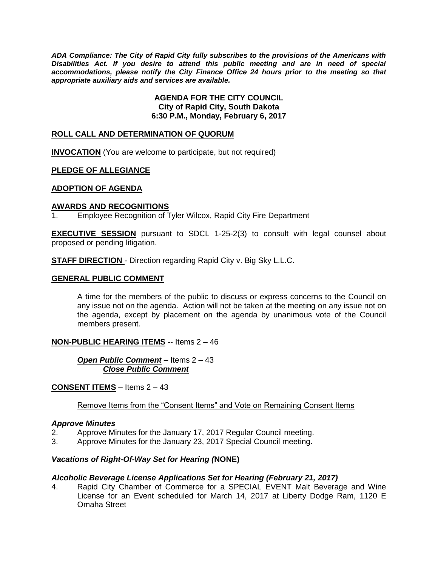*ADA Compliance: The City of Rapid City fully subscribes to the provisions of the Americans with Disabilities Act. If you desire to attend this public meeting and are in need of special accommodations, please notify the City Finance Office 24 hours prior to the meeting so that appropriate auxiliary aids and services are available.*

> **AGENDA FOR THE CITY COUNCIL City of Rapid City, South Dakota 6:30 P.M., Monday, February 6, 2017**

#### **ROLL CALL AND DETERMINATION OF QUORUM**

**INVOCATION** (You are welcome to participate, but not required)

#### **PLEDGE OF ALLEGIANCE**

#### **ADOPTION OF AGENDA**

#### **AWARDS AND RECOGNITIONS**

1. Employee Recognition of Tyler Wilcox, Rapid City Fire Department

**EXECUTIVE SESSION** pursuant to SDCL 1-25-2(3) to consult with legal counsel about proposed or pending litigation.

**STAFF DIRECTION** - Direction regarding Rapid City v. Big Sky L.L.C.

#### **GENERAL PUBLIC COMMENT**

A time for the members of the public to discuss or express concerns to the Council on any issue not on the agenda. Action will not be taken at the meeting on any issue not on the agenda, except by placement on the agenda by unanimous vote of the Council members present.

#### **NON-PUBLIC HEARING ITEMS** -- Items 2 – 46

*Open Public Comment* – Items 2 – 43 *Close Public Comment*

## **CONSENT ITEMS** – Items 2 – 43

#### Remove Items from the "Consent Items" and Vote on Remaining Consent Items

#### *Approve Minutes*

- 2. Approve Minutes for the January 17, 2017 Regular Council meeting.
- 3. Approve Minutes for the January 23, 2017 Special Council meeting.

#### *Vacations of Right-Of-Way Set for Hearing (***NONE)**

#### *Alcoholic Beverage License Applications Set for Hearing (February 21, 2017)*

4. Rapid City Chamber of Commerce for a SPECIAL EVENT Malt Beverage and Wine License for an Event scheduled for March 14, 2017 at Liberty Dodge Ram, 1120 E Omaha Street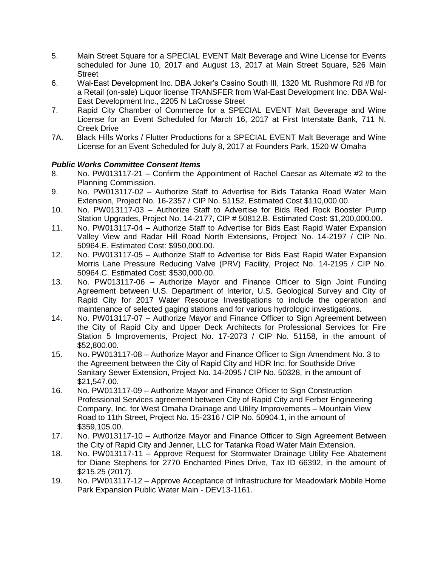- 5. Main Street Square for a SPECIAL EVENT Malt Beverage and Wine License for Events scheduled for June 10, 2017 and August 13, 2017 at Main Street Square, 526 Main **Street**
- 6. Wal-East Development Inc. DBA Joker's Casino South III, 1320 Mt. Rushmore Rd #B for a Retail (on-sale) Liquor license TRANSFER from Wal-East Development Inc. DBA Wal-East Development Inc., 2205 N LaCrosse Street
- 7. Rapid City Chamber of Commerce for a SPECIAL EVENT Malt Beverage and Wine License for an Event Scheduled for March 16, 2017 at First Interstate Bank, 711 N. Creek Drive
- 7A. Black Hills Works / Flutter Productions for a SPECIAL EVENT Malt Beverage and Wine License for an Event Scheduled for July 8, 2017 at Founders Park, 1520 W Omaha

## *Public Works Committee Consent Items*

- 8. No. PW013117-21 Confirm the Appointment of Rachel Caesar as Alternate #2 to the Planning Commission.
- 9. No. PW013117-02 Authorize Staff to Advertise for Bids Tatanka Road Water Main Extension, Project No. 16-2357 / CIP No. 51152. Estimated Cost \$110,000.00.
- 10. No. PW013117-03 Authorize Staff to Advertise for Bids Red Rock Booster Pump Station Upgrades, Project No. 14-2177, CIP # 50812.B. Estimated Cost: \$1,200,000.00.
- 11. No. PW013117-04 Authorize Staff to Advertise for Bids East Rapid Water Expansion Valley View and Radar Hill Road North Extensions, Project No. 14-2197 / CIP No. 50964.E. Estimated Cost: \$950,000.00.
- 12. No. PW013117-05 Authorize Staff to Advertise for Bids East Rapid Water Expansion Morris Lane Pressure Reducing Valve (PRV) Facility, Project No. 14-2195 / CIP No. 50964.C. Estimated Cost: \$530,000.00.
- 13. No. PW013117-06 Authorize Mayor and Finance Officer to Sign Joint Funding Agreement between U.S. Department of Interior, U.S. Geological Survey and City of Rapid City for 2017 Water Resource Investigations to include the operation and maintenance of selected gaging stations and for various hydrologic investigations.
- 14. No. PW013117-07 Authorize Mayor and Finance Officer to Sign Agreement between the City of Rapid City and Upper Deck Architects for Professional Services for Fire Station 5 Improvements, Project No. 17-2073 / CIP No. 51158, in the amount of \$52,800.00.
- 15. No. PW013117-08 Authorize Mayor and Finance Officer to Sign Amendment No. 3 to the Agreement between the City of Rapid City and HDR Inc. for Southside Drive Sanitary Sewer Extension, Project No. 14-2095 / CIP No. 50328, in the amount of \$21,547.00.
- 16. No. PW013117-09 Authorize Mayor and Finance Officer to Sign Construction Professional Services agreement between City of Rapid City and Ferber Engineering Company, Inc. for West Omaha Drainage and Utility Improvements – Mountain View Road to 11th Street, Project No. 15-2316 / CIP No. 50904.1, in the amount of \$359,105.00.
- 17. No. PW013117-10 Authorize Mayor and Finance Officer to Sign Agreement Between the City of Rapid City and Jenner, LLC for Tatanka Road Water Main Extension.
- 18. No. PW013117-11 Approve Request for Stormwater Drainage Utility Fee Abatement for Diane Stephens for 2770 Enchanted Pines Drive, Tax ID 66392, in the amount of \$215.25 (2017).
- 19. No. PW013117-12 Approve Acceptance of Infrastructure for Meadowlark Mobile Home Park Expansion Public Water Main - DEV13-1161.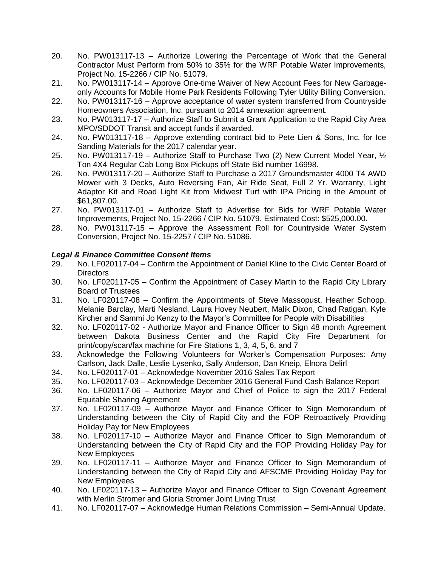- 20. No. PW013117-13 Authorize Lowering the Percentage of Work that the General Contractor Must Perform from 50% to 35% for the WRF Potable Water Improvements, Project No. 15-2266 / CIP No. 51079.
- 21. No. PW013117-14 Approve One-time Waiver of New Account Fees for New Garbageonly Accounts for Mobile Home Park Residents Following Tyler Utility Billing Conversion.
- 22. No. PW013117-16 Approve acceptance of water system transferred from Countryside Homeowners Association, Inc. pursuant to 2014 annexation agreement.
- 23. No. PW013117-17 Authorize Staff to Submit a Grant Application to the Rapid City Area MPO/SDDOT Transit and accept funds if awarded.
- 24. No. PW013117-18 Approve extending contract bid to Pete Lien & Sons, Inc. for Ice Sanding Materials for the 2017 calendar year.
- 25. No. PW013117-19 Authorize Staff to Purchase Two (2) New Current Model Year,  $\frac{1}{2}$ Ton 4X4 Regular Cab Long Box Pickups off State Bid number 16998.
- 26. No. PW013117-20 Authorize Staff to Purchase a 2017 Groundsmaster 4000 T4 AWD Mower with 3 Decks, Auto Reversing Fan, Air Ride Seat, Full 2 Yr. Warranty, Light Adaptor Kit and Road Light Kit from Midwest Turf with IPA Pricing in the Amount of \$61,807.00.
- 27. No. PW013117-01 Authorize Staff to Advertise for Bids for WRF Potable Water Improvements, Project No. 15-2266 / CIP No. 51079. Estimated Cost: \$525,000.00.
- 28. No. PW013117-15 Approve the Assessment Roll for Countryside Water System Conversion, Project No. 15-2257 / CIP No. 51086.

## *Legal & Finance Committee Consent Items*

- 29. No. LF020117-04 Confirm the Appointment of Daniel Kline to the Civic Center Board of Directors
- 30. No. LF020117-05 Confirm the Appointment of Casey Martin to the Rapid City Library Board of Trustees
- 31. No. LF020117-08 Confirm the Appointments of Steve Massopust, Heather Schopp, Melanie Barclay, Marti Nesland, Laura Hovey Neubert, Malik Dixon, Chad Ratigan, Kyle Kircher and Sammi Jo Kenzy to the Mayor's Committee for People with Disabilities
- 32. No. LF020117-02 Authorize Mayor and Finance Officer to Sign 48 month Agreement between Dakota Business Center and the Rapid City Fire Department for print/copy/scan/fax machine for Fire Stations 1, 3, 4, 5, 6, and 7
- 33. Acknowledge the Following Volunteers for Worker's Compensation Purposes: Amy Carlson, Jack Dalle, Leslie Lysenko, Sally Anderson, Dan Kneip, Elnora Delirl
- 34. No. LF020117-01 Acknowledge November 2016 Sales Tax Report
- 35. No. LF020117-03 Acknowledge December 2016 General Fund Cash Balance Report
- 36. No. LF020117-06 Authorize Mayor and Chief of Police to sign the 2017 Federal Equitable Sharing Agreement
- 37. No. LF020117-09 Authorize Mayor and Finance Officer to Sign Memorandum of Understanding between the City of Rapid City and the FOP Retroactively Providing Holiday Pay for New Employees
- 38. No. LF020117-10 Authorize Mayor and Finance Officer to Sign Memorandum of Understanding between the City of Rapid City and the FOP Providing Holiday Pay for New Employees
- 39. No. LF020117-11 Authorize Mayor and Finance Officer to Sign Memorandum of Understanding between the City of Rapid City and AFSCME Providing Holiday Pay for New Employees
- 40. No. LF020117-13 Authorize Mayor and Finance Officer to Sign Covenant Agreement with Merlin Stromer and Gloria Stromer Joint Living Trust
- 41. No. LF020117-07 Acknowledge Human Relations Commission Semi-Annual Update.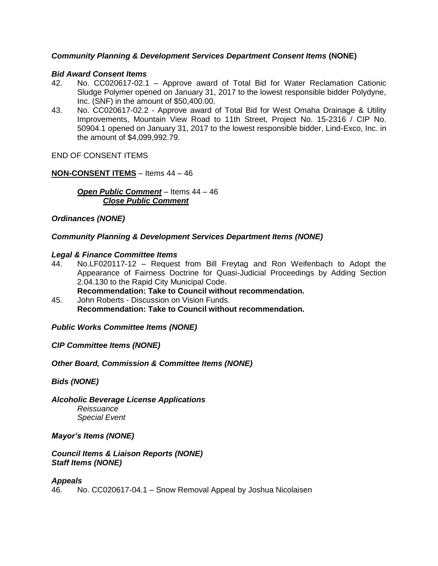## *Community Planning & Development Services Department Consent Items* **(NONE)**

#### *Bid Award Consent Items*

- 42. No. CC020617-02.1 Approve award of Total Bid for Water Reclamation Cationic Sludge Polymer opened on January 31, 2017 to the lowest responsible bidder Polydyne, Inc. (SNF) in the amount of \$50,400.00.
- 43. No. CC020617-02.2 Approve award of Total Bid for West Omaha Drainage & Utility Improvements, Mountain View Road to 11th Street, Project No. 15-2316 / CIP No. 50904.1 opened on January 31, 2017 to the lowest responsible bidder, Lind-Exco, Inc. in the amount of \$4,099,992.79.

END OF CONSENT ITEMS

#### **NON-CONSENT ITEMS** – Items 44 – 46

*Open Public Comment* – Items 44 – 46 *Close Public Comment*

*Ordinances (NONE)*

#### *Community Planning & Development Services Department Items (NONE)*

#### *Legal & Finance Committee Items*

44. No.LF020117-12 – Request from Bill Freytag and Ron Weifenbach to Adopt the Appearance of Fairness Doctrine for Quasi-Judicial Proceedings by Adding Section 2.04.130 to the Rapid City Municipal Code.

**Recommendation: Take to Council without recommendation.**

45. John Roberts - Discussion on Vision Funds. **Recommendation: Take to Council without recommendation.**

## *Public Works Committee Items (NONE)*

*CIP Committee Items (NONE)*

*Other Board, Commission & Committee Items (NONE)*

*Bids (NONE)*

*Alcoholic Beverage License Applications Reissuance Special Event*

#### *Mayor's Items (NONE)*

#### *Council Items & Liaison Reports (NONE) Staff Items (NONE)*

#### *Appeals*

46. No. CC020617-04.1 – Snow Removal Appeal by Joshua Nicolaisen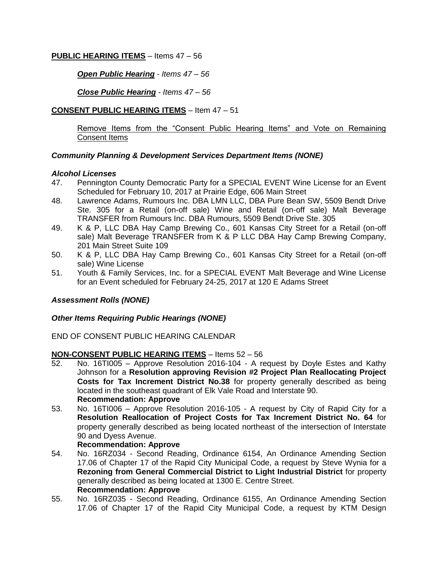## **PUBLIC HEARING ITEMS** – Items 47 – 56

*Open Public Hearing* - *Items 47 – 56* 

*Close Public Hearing* - *Items 47 – 56*

## **CONSENT PUBLIC HEARING ITEMS** – Item 47 – 51

Remove Items from the "Consent Public Hearing Items" and Vote on Remaining Consent Items

## *Community Planning & Development Services Department Items (NONE)*

#### *Alcohol Licenses*

- 47. Pennington County Democratic Party for a SPECIAL EVENT Wine License for an Event Scheduled for February 10, 2017 at Prairie Edge, 606 Main Street
- 48. Lawrence Adams, Rumours Inc. DBA LMN LLC, DBA Pure Bean SW, 5509 Bendt Drive Ste. 305 for a Retail (on-off sale) Wine and Retail (on-off sale) Malt Beverage TRANSFER from Rumours Inc. DBA Rumours, 5509 Bendt Drive Ste. 305
- 49. K & P, LLC DBA Hay Camp Brewing Co., 601 Kansas City Street for a Retail (on-off sale) Malt Beverage TRANSFER from K & P LLC DBA Hay Camp Brewing Company, 201 Main Street Suite 109
- 50. K & P, LLC DBA Hay Camp Brewing Co., 601 Kansas City Street for a Retail (on-off sale) Wine License
- 51. Youth & Family Services, Inc. for a SPECIAL EVENT Malt Beverage and Wine License for an Event scheduled for February 24-25, 2017 at 120 E Adams Street

## *Assessment Rolls (NONE)*

## *Other Items Requiring Public Hearings (NONE)*

END OF CONSENT PUBLIC HEARING CALENDAR

## **NON-CONSENT PUBLIC HEARING ITEMS** – Items 52 – 56

- 52. No. 16TI005 Approve Resolution 2016-104 A request by Doyle Estes and Kathy Johnson for a **Resolution approving Revision #2 Project Plan Reallocating Project Costs for Tax Increment District No.38** for property generally described as being located in the southeast quadrant of Elk Vale Road and Interstate 90. **Recommendation: Approve**
- 53. No. 16TI006 Approve Resolution 2016-105 A request by City of Rapid City for a **Resolution Reallocation of Project Costs for Tax Increment District No. 64** for property generally described as being located northeast of the intersection of Interstate 90 and Dyess Avenue.

#### **Recommendation: Approve**

- 54. No. 16RZ034 Second Reading, Ordinance 6154, An Ordinance Amending Section 17.06 of Chapter 17 of the Rapid City Municipal Code, a request by Steve Wynia for a **Rezoning from General Commercial District to Light Industrial District** for property generally described as being located at 1300 E. Centre Street. **Recommendation: Approve**
- 55. No. 16RZ035 Second Reading, Ordinance 6155, An Ordinance Amending Section 17.06 of Chapter 17 of the Rapid City Municipal Code, a request by KTM Design